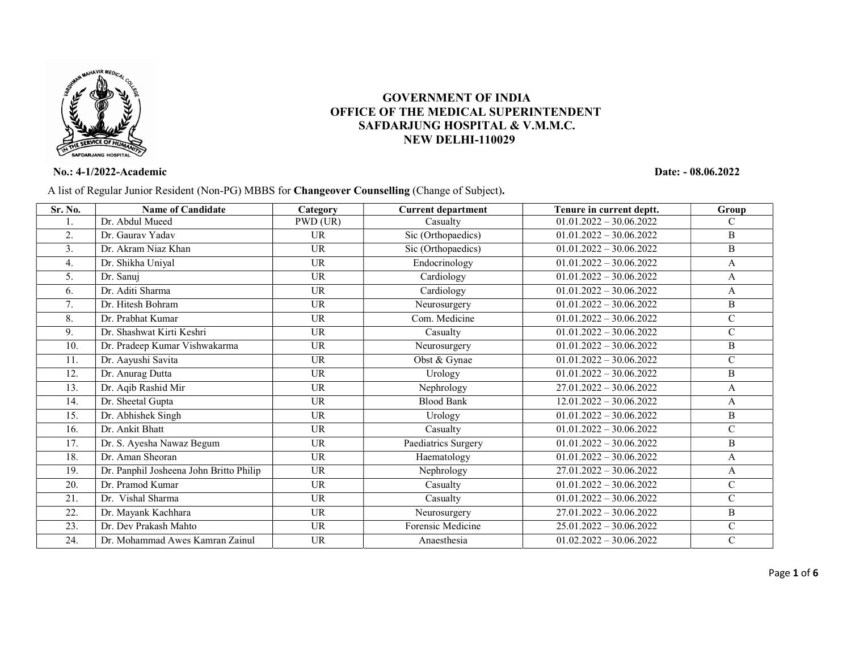

## GOVERNMENT OF INDIA OFFICE OF THE MEDICAL SUPERINTENDENT SAFDARJUNG HOSPITAL & V.M.M.C. NEW DELHI-110029

## No.: 4-1/2022-Academic Date: - 08.06.2022

A list of Regular Junior Resident (Non-PG) MBBS for Changeover Counselling (Change of Subject).

| Sr. No. | <b>Name of Candidate</b>                | Category  | <b>Current department</b>      | Tenure in current deptt.  | Group         |
|---------|-----------------------------------------|-----------|--------------------------------|---------------------------|---------------|
| l.      | Dr. Abdul Mueed                         | PWD (UR)  | Casualty                       | $01.01.2022 - 30.06.2022$ | $\mathcal{C}$ |
| 2.      | Dr. Gauray Yaday                        | <b>UR</b> | Sic (Orthopaedics)             | $01.01.2022 - 30.06.2022$ | B             |
| 3.      | Dr. Akram Niaz Khan                     | <b>UR</b> | Sic (Orthopaedics)             | $01.01.2022 - 30.06.2022$ | B             |
| 4.      | Dr. Shikha Uniyal                       | <b>UR</b> | Endocrinology                  | $01.01.2022 - 30.06.2022$ | A             |
| 5.      | Dr. Sanuj                               | <b>UR</b> | Cardiology                     | $01.01.2022 - 30.06.2022$ | A             |
| 6.      | Dr. Aditi Sharma                        | <b>UR</b> | $\overline{\text{Cardiology}}$ | $01.01.2022 - 30.06.2022$ | A             |
| 7.      | Dr. Hitesh Bohram                       | <b>UR</b> | Neurosurgery                   | $01.01.2022 - 30.06.2022$ | B             |
| 8.      | Dr. Prabhat Kumar                       | <b>UR</b> | Com. Medicine                  | $01.01.2022 - 30.06.2022$ | $\mathbf C$   |
| 9.      | Dr. Shashwat Kirti Keshri               | <b>UR</b> | Casualty                       | $01.01.2022 - 30.06.2022$ | $\mathbf C$   |
| 10.     | Dr. Pradeep Kumar Vishwakarma           | <b>UR</b> | Neurosurgery                   | $01.01.2022 - 30.06.2022$ | B             |
| 11.     | Dr. Aayushi Savita                      | <b>UR</b> | Obst & Gynae                   | $01.01.2022 - 30.06.2022$ | $\mathbf C$   |
| 12.     | Dr. Anurag Dutta                        | <b>UR</b> | Urology                        | $01.01.2022 - 30.06.2022$ | B             |
| 13.     | Dr. Aqib Rashid Mir                     | <b>UR</b> | Nephrology                     | $27.01.2022 - 30.06.2022$ | A             |
| 14.     | Dr. Sheetal Gupta                       | <b>UR</b> | <b>Blood Bank</b>              | $12.01.2022 - 30.06.2022$ | A             |
| 15.     | Dr. Abhishek Singh                      | <b>UR</b> | Urology                        | $01.01.2022 - 30.06.2022$ | B             |
| 16.     | Dr. Ankit Bhatt                         | <b>UR</b> | Casualty                       | $01.01.2022 - 30.06.2022$ | $\mathbf C$   |
| 17.     | Dr. S. Ayesha Nawaz Begum               | <b>UR</b> | Paediatrics Surgery            | $01.01.2022 - 30.06.2022$ | B             |
| 18.     | Dr. Aman Sheoran                        | <b>UR</b> | Haematology                    | $01.01.2022 - 30.06.2022$ | A             |
| 19.     | Dr. Panphil Josheena John Britto Philip | <b>UR</b> | Nephrology                     | $27.01.2022 - 30.06.2022$ | A             |
| 20.     | Dr. Pramod Kumar                        | <b>UR</b> | Casualty                       | $01.01.2022 - 30.06.2022$ | $\mathbf C$   |
| 21.     | Dr. Vishal Sharma                       | <b>UR</b> | Casualty                       | $01.01.2022 - 30.06.2022$ | $\mathcal{C}$ |
| 22.     | Dr. Mayank Kachhara                     | <b>UR</b> | Neurosurgery                   | $27.01.2022 - 30.06.2022$ | B             |
| 23.     | Dr. Dev Prakash Mahto                   | <b>UR</b> | Forensic Medicine              | $25.01.2022 - 30.06.2022$ | $\mathbf C$   |
| 24.     | Dr. Mohammad Awes Kamran Zainul         | <b>UR</b> | Anaesthesia                    | $01.02.2022 - 30.06.2022$ | $\mathbf C$   |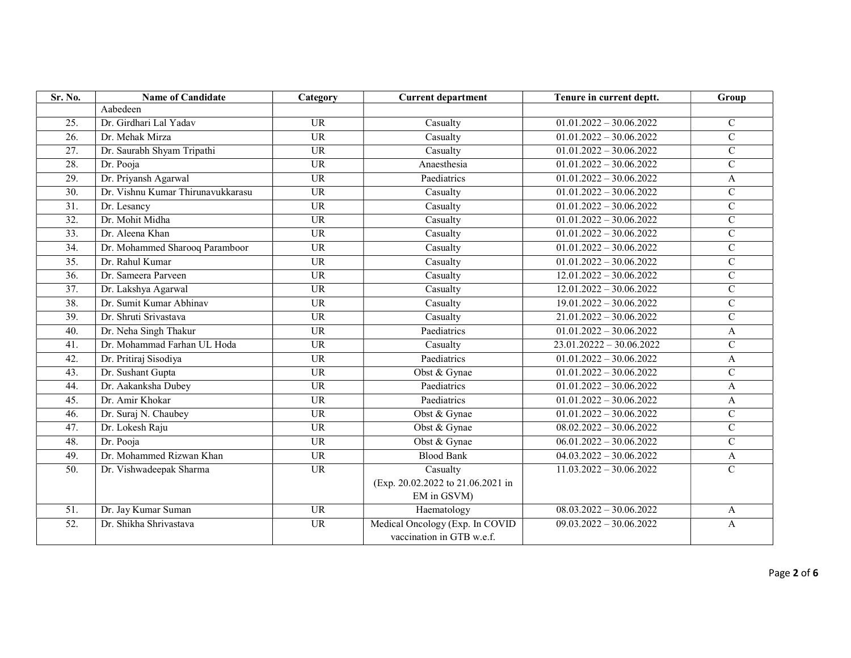| Sr. No.           | <b>Name of Candidate</b>          | Category        | <b>Current department</b>         | Tenure in current deptt.   | Group          |
|-------------------|-----------------------------------|-----------------|-----------------------------------|----------------------------|----------------|
|                   | Aabedeen                          |                 |                                   |                            |                |
| 25.               | Dr. Girdhari Lal Yadav            | <b>UR</b>       | Casualty                          | $01.01.2022 - 30.06.2022$  | $\mathbf C$    |
| $\overline{26}$ . | Dr. Mehak Mirza                   | <b>UR</b>       | Casualty                          | $01.01.2022 - 30.06.2022$  | $\mathsf{C}$   |
| $\overline{27}$ . | Dr. Saurabh Shyam Tripathi        | $\overline{UR}$ | Casualty                          | $01.01.2022 - 30.06.2022$  | $\overline{C}$ |
| 28.               | Dr. Pooja                         | <b>UR</b>       | Anaesthesia                       | $01.01.2022 - 30.06.2022$  | $\mathbf C$    |
| 29.               | Dr. Priyansh Agarwal              | <b>UR</b>       | Paediatrics                       | $01.01.2022 - 30.06.2022$  | A              |
| $\overline{30}$ . | Dr. Vishnu Kumar Thirunavukkarasu | $\overline{UR}$ | Casualty                          | $01.01.2022 - 30.06.2022$  | $\mathbf C$    |
| $\overline{31}$ . | Dr. Lesancy                       | $\overline{UR}$ | Casualty                          | $01.01.2022 - 30.06.2022$  | $\mathbf C$    |
| $\overline{32}$ . | Dr. Mohit Midha                   | $\overline{UR}$ | Casualty                          | $01.01.2022 - 30.06.2022$  | $\mathbf C$    |
| 33.               | Dr. Aleena Khan                   | $\overline{UR}$ | Casualty                          | $01.01.2022 - 30.06.2022$  | $\mathsf{C}$   |
| 34.               | Dr. Mohammed Sharooq Paramboor    | <b>UR</b>       | Casualty                          | $01.01.2022 - 30.06.2022$  | $\mathbf C$    |
| 35.               | Dr. Rahul Kumar                   | <b>UR</b>       | Casualty                          | $01.01.2022 - 30.06.2022$  | $\mathbf C$    |
| 36.               | Dr. Sameera Parveen               | <b>UR</b>       | Casualty                          | $12.01.2022 - 30.06.2022$  | $\mathbf C$    |
| $\overline{37}$ . | Dr. Lakshya Agarwal               | $\overline{UR}$ | Casualty                          | $12.01.2022 - 30.06.2022$  | $\mathcal{C}$  |
| 38.               | Dr. Sumit Kumar Abhinav           | <b>UR</b>       | Casualty                          | $19.01.2022 - 30.06.2022$  | $\mathbf C$    |
| 39.               | Dr. Shruti Srivastava             | <b>UR</b>       | Casualty                          | $21.01.2022 - 30.06.2022$  | $\mathbf C$    |
| 40.               | Dr. Neha Singh Thakur             | $\overline{UR}$ | Paediatrics                       | $01.01.2022 - 30.06.2022$  | A              |
| 41.               | Dr. Mohammad Farhan UL Hoda       | <b>UR</b>       | Casualty                          | $23.01.20222 - 30.06.2022$ | $\mathsf{C}$   |
| 42.               | Dr. Pritiraj Sisodiya             | <b>UR</b>       | Paediatrics                       | $01.01.2022 - 30.06.2022$  | A              |
| 43.               | Dr. Sushant Gupta                 | <b>UR</b>       | Obst & Gynae                      | $01.01.2022 - 30.06.2022$  | $\mathbf C$    |
| 44.               | Dr. Aakanksha Dubey               | <b>UR</b>       | Paediatrics                       | $01.01.2022 - 30.06.2022$  | A              |
| 45.               | Dr. Amir Khokar                   | <b>UR</b>       | Paediatrics                       | $01.01.2022 - 30.06.2022$  | A              |
| 46.               | Dr. Suraj N. Chaubey              | <b>UR</b>       | Obst & Gynae                      | $01.01.2022 - 30.06.2022$  | $\mathsf{C}$   |
| 47.               | Dr. Lokesh Raju                   | <b>UR</b>       | Obst & Gynae                      | $08.02.2022 - 30.06.2022$  | $\mathsf{C}$   |
| 48.               | Dr. Pooja                         | <b>UR</b>       | Obst & Gynae                      | $06.01.2022 - 30.06.2022$  | $\overline{C}$ |
| 49.               | Dr. Mohammed Rizwan Khan          | $\overline{UR}$ | <b>Blood Bank</b>                 | $04.03.2022 - 30.06.2022$  | A              |
| $\overline{50}$ . | Dr. Vishwadeepak Sharma           | $\overline{UR}$ | Casualty                          | $11.03.2022 - 30.06.2022$  | $\mathbf C$    |
|                   |                                   |                 | (Exp. 20.02.2022 to 21.06.2021 in |                            |                |
|                   |                                   |                 | EM in GSVM)                       |                            |                |
| $\overline{51}$ . | Dr. Jay Kumar Suman               | <b>UR</b>       | Haematology                       | $08.03.2022 - 30.06.2022$  | A              |
| $\overline{52}$ . | Dr. Shikha Shrivastava            | <b>UR</b>       | Medical Oncology (Exp. In COVID   | $09.03.2022 - 30.06.2022$  | A              |
|                   |                                   |                 | vaccination in GTB w.e.f.         |                            |                |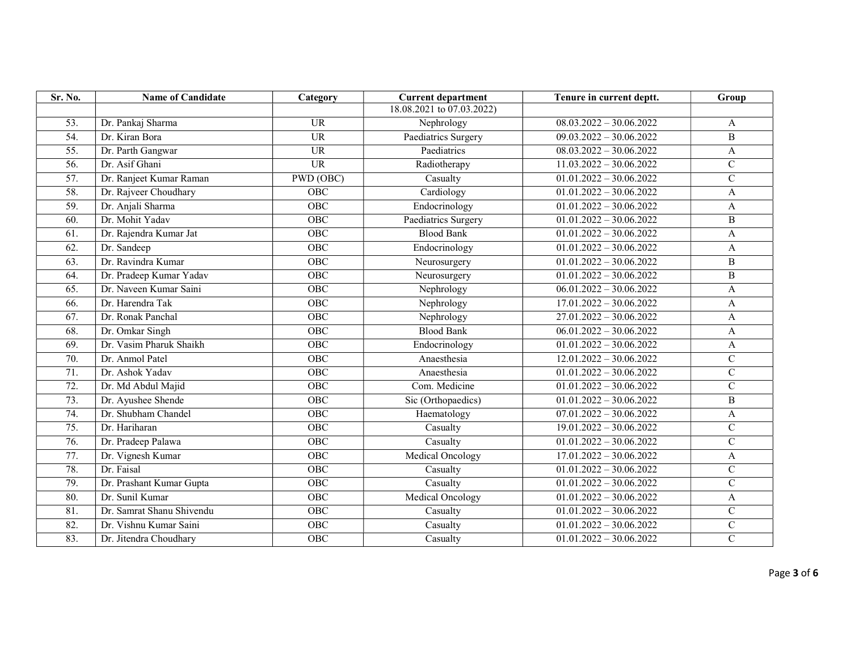| Sr. No.           | <b>Name of Candidate</b>  | Category        | <b>Current department</b>     | Tenure in current deptt.             | Group          |
|-------------------|---------------------------|-----------------|-------------------------------|--------------------------------------|----------------|
|                   |                           |                 | 18.08.2021 to 07.03.2022)     |                                      |                |
| 53.               | Dr. Pankaj Sharma         | <b>UR</b>       | Nephrology                    | $08.03.2022 - 30.06.2022$            | A              |
| 54.               | Dr. Kiran Bora            | $\overline{UR}$ | Paediatrics Surgery           | $09.03.\overline{2022 - 30.06.2022}$ | B              |
| $\overline{55}$ . | Dr. Parth Gangwar         | <b>UR</b>       | Paediatrics                   | $08.03.2022 - 30.06.2022$            | $\mathbf{A}$   |
| 56.               | Dr. Asif Ghani            | <b>UR</b>       | Radiotherapy                  | $11.03.2022 - 30.06.2022$            | $\mathcal{C}$  |
| 57.               | Dr. Ranjeet Kumar Raman   | PWD (OBC)       | Casualty                      | $01.01.2022 - 30.06.2022$            | $\mathbf C$    |
| 58.               | Dr. Rajveer Choudhary     | OBC             | Cardiology                    | $01.01.2022 - 30.06.2022$            | A              |
| 59.               | Dr. Anjali Sharma         | OBC             | Endocrinology                 | $01.01.2022 - 30.06.2022$            | A              |
| 60.               | Dr. Mohit Yadav           | OBC             | Paediatrics Surgery           | $01.01.2022 - 30.06.2022$            | B              |
| 61.               | Dr. Rajendra Kumar Jat    | OBC             | <b>Blood Bank</b>             | $01.01.2022 - 30.06.2022$            | A              |
| 62.               | Dr. Sandeep               | OBC             | Endocrinology                 | $01.01.2022 - 30.06.2022$            | A              |
| 63.               | Dr. Ravindra Kumar        | OBC             | Neurosurgery                  | $01.01.2022 - 30.06.2022$            | $\, {\bf B}$   |
| 64.               | Dr. Pradeep Kumar Yadav   | OBC             | Neurosurgery                  | $01.01.2022 - 30.06.2022$            | $\, {\bf B}$   |
| 65.               | Dr. Naveen Kumar Saini    | OBC             | Nephrology                    | $06.01.2022 - 30.06.2022$            | A              |
| 66.               | Dr. Harendra Tak          | OBC             | Nephrology                    | $17.01.2022 - 30.06.2022$            | A              |
| 67.               | Dr. Ronak Panchal         | OBC             | Nephrology                    | $27.01.2022 - 30.06.2022$            | A              |
| 68.               | Dr. Omkar Singh           | OBC             | <b>Blood Bank</b>             | $06.01.2022 - 30.06.2022$            | A              |
| 69.               | Dr. Vasim Pharuk Shaikh   | OBC             | Endocrinology                 | $01.01.2022 - 30.06.2022$            | A              |
| 70.               | Dr. Anmol Patel           | OBC             | Anaesthesia                   | $12.01.2022 - 30.06.2022$            | $\mathbf C$    |
| 71.               | Dr. Ashok Yadav           | OBC             | Anaesthesia                   | $\overline{01.01.2022} - 30.06.2022$ | $\mathbf C$    |
| 72.               | Dr. Md Abdul Majid        | OBC             | Com. Medicine                 | $01.01.2022 - 30.06.2022$            | $\mathbf C$    |
| 73.               | Dr. Ayushee Shende        | OBC             | Sic (Orthopaedics)            | $01.01.2022 - 30.06.2022$            | $\, {\bf B}$   |
| 74.               | Dr. Shubham Chandel       | OBC             | Haematology                   | $07.01.2022 - 30.06.2022$            | A              |
| 75.               | Dr. Hariharan             | OBC             | Casualty                      | $19.01.2022 - 30.06.2022$            | ${\bf C}$      |
| 76.               | Dr. Pradeep Palawa        | OBC             | Casualty                      | $01.01.2022 - 30.06.2022$            | $\mathbf C$    |
| 77.               | Dr. Vignesh Kumar         | OBC             | <b>Medical Oncology</b>       | $17.01.2022 - 30.06.2022$            | A              |
| 78.               | Dr. Faisal                | OBC             | Casualty                      | $01.01.2022 - 30.06.2022$            | ${\bf C}$      |
| 79.               | Dr. Prashant Kumar Gupta  | OBC             | Casualty                      | $01.01.2022 - 30.06.2022$            | $\mathbf C$    |
| 80.               | Dr. Sunil Kumar           | OBC             | <b>Medical Oncology</b>       | $01.01.2022 - 30.06.2022$            | A              |
| 81.               | Dr. Samrat Shanu Shivendu | OBC             | Casualty                      | $01.01.2022 - 30.06.2022$            | ${\bf C}$      |
| 82.               | Dr. Vishnu Kumar Saini    | OBC             | Casualty                      | $01.01.2022 - 30.06.2022$            | $\mathbf C$    |
| 83.               | Dr. Jitendra Choudhary    | OBC             | $\overline{\text{C}}$ asualty | $01.01.2022 - 30.06.2022$            | $\overline{C}$ |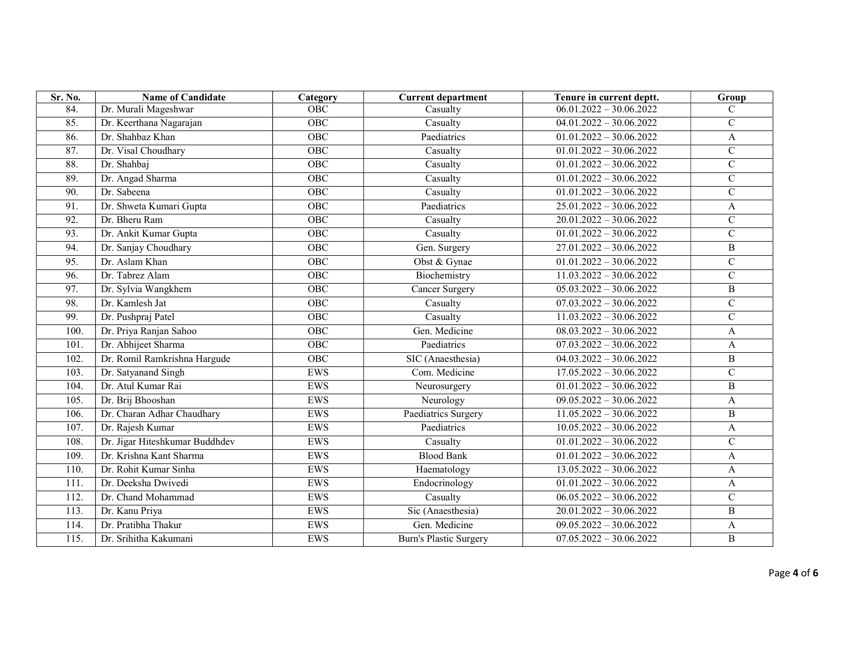| Sr. No.           | <b>Name of Candidate</b>       | Category   | <b>Current department</b>     | Tenure in current deptt.  | Group          |
|-------------------|--------------------------------|------------|-------------------------------|---------------------------|----------------|
| 84.               | Dr. Murali Mageshwar           | OBC        | Casualty                      | $06.01.2022 - 30.06.2022$ | $\mathcal{C}$  |
| 85.               | Dr. Keerthana Nagarajan        | OBC        | Casualty                      | $04.01.2022 - 30.06.2022$ | $\mathcal{C}$  |
| 86.               | Dr. Shahbaz Khan               | <b>OBC</b> | Paediatrics                   | $01.01.2022 - 30.06.2022$ | $\mathbf{A}$   |
| 87.               | Dr. Visal Choudhary            | OBC        | Casualty                      | $01.01.2022 - 30.06.2022$ | $\mathbf C$    |
| 88.               | Dr. Shahbaj                    | OBC        | Casualty                      | $01.01.2022 - 30.06.2022$ | ${\bf C}$      |
| 89.               | Dr. Angad Sharma               | OBC        | Casualty                      | $01.01.2022 - 30.06.2022$ | $\mathbf C$    |
| $\overline{90}$ . | Dr. Sabeena                    | OBC        | Casualty                      | $01.01.2022 - 30.06.2022$ | ${\bf C}$      |
| 91.               | Dr. Shweta Kumari Gupta        | OBC        | Paediatrics                   | $25.01.2022 - 30.06.2022$ | A              |
| 92.               | Dr. Bheru Ram                  | OBC        | Casualty                      | $20.01.2022 - 30.06.2022$ | $\mathbf C$    |
| 93.               | Dr. Ankit Kumar Gupta          | OBC        | Casualty                      | $01.01.2022 - 30.06.2022$ | $\mathsf{C}$   |
| 94.               | Dr. Sanjay Choudhary           | OBC        | Gen. Surgery                  | $27.01.2022 - 30.06.2022$ | $\, {\bf B}$   |
| 95.               | Dr. Aslam Khan                 | OBC        | Obst & Gynae                  | $01.01.2022 - 30.06.2022$ | ${\bf C}$      |
| 96.               | Dr. Tabrez Alam                | OBC        | Biochemistry                  | $11.03.2022 - 30.06.2022$ | $\mathcal{C}$  |
| 97.               | Dr. Sylvia Wangkhem            | OBC        | Cancer Surgery                | $05.03.2022 - 30.06.2022$ | $\, {\bf B}$   |
| 98.               | Dr. Kamlesh Jat                | OBC        | Casualty                      | $07.03.2022 - 30.06.2022$ | $\overline{C}$ |
| 99.               | Dr. Pushpraj Patel             | OBC        | Casualty                      | $11.03.2022 - 30.06.2022$ | ${\bf C}$      |
| 100.              | Dr. Priya Ranjan Sahoo         | OBC        | Gen. Medicine                 | $08.03.2022 - 30.06.2022$ | A              |
| 101.              | Dr. Abhijeet Sharma            | OBC        | Paediatrics                   | $07.03.2022 - 30.06.2022$ | A              |
| 102.              | Dr. Romil Ramkrishna Hargude   | OBC        | SIC (Anaesthesia)             | $04.03.2022 - 30.06.2022$ | $\, {\bf B}$   |
| 103.              | Dr. Satyanand Singh            | <b>EWS</b> | Com. Medicine                 | $17.05.2022 - 30.06.2022$ | $\mathbf C$    |
| 104.              | Dr. Atul Kumar Rai             | <b>EWS</b> | Neurosurgery                  | $01.01.2022 - 30.06.2022$ | $\, {\bf B}$   |
| 105.              | Dr. Brij Bhooshan              | <b>EWS</b> | Neurology                     | $09.05.2022 - 30.06.2022$ | A              |
| 106.              | Dr. Charan Adhar Chaudhary     | EWS        | Paediatrics Surgery           | $11.05.2022 - 30.06.2022$ | $\overline{B}$ |
| 107.              | Dr. Rajesh Kumar               | <b>EWS</b> | Paediatrics                   | $10.05.2022 - 30.06.2022$ | $\mathbf{A}$   |
| 108.              | Dr. Jigar Hiteshkumar Buddhdev | EWS        | Casualty                      | $01.01.2022 - 30.06.2022$ | $\mathcal{C}$  |
| 109.              | Dr. Krishna Kant Sharma        | EWS        | <b>Blood Bank</b>             | $01.01.2022 - 30.06.2022$ | A              |
| 110.              | Dr. Rohit Kumar Sinha          | EWS        | Haematology                   | $13.05.2022 - 30.06.2022$ | A              |
| 111.              | Dr. Deeksha Dwivedi            | <b>EWS</b> | Endocrinology                 | $01.01.2022 - 30.06.2022$ | A              |
| 112.              | Dr. Chand Mohammad             | <b>EWS</b> | Casualty                      | $06.05.2022 - 30.06.2022$ | ${\bf C}$      |
| 113.              | Dr. Kanu Priya                 | <b>EWS</b> | Sic (Anaesthesia)             | $20.01.2022 - 30.06.2022$ | $\mathbf B$    |
| 114.              | Dr. Pratibha Thakur            | EWS        | Gen. Medicine                 | $09.05.2022 - 30.06.2022$ | A              |
| 115.              | Dr. Srihitha Kakumani          | <b>EWS</b> | <b>Burn's Plastic Surgery</b> | $07.05.2022 - 30.06.2022$ | $\bf{B}$       |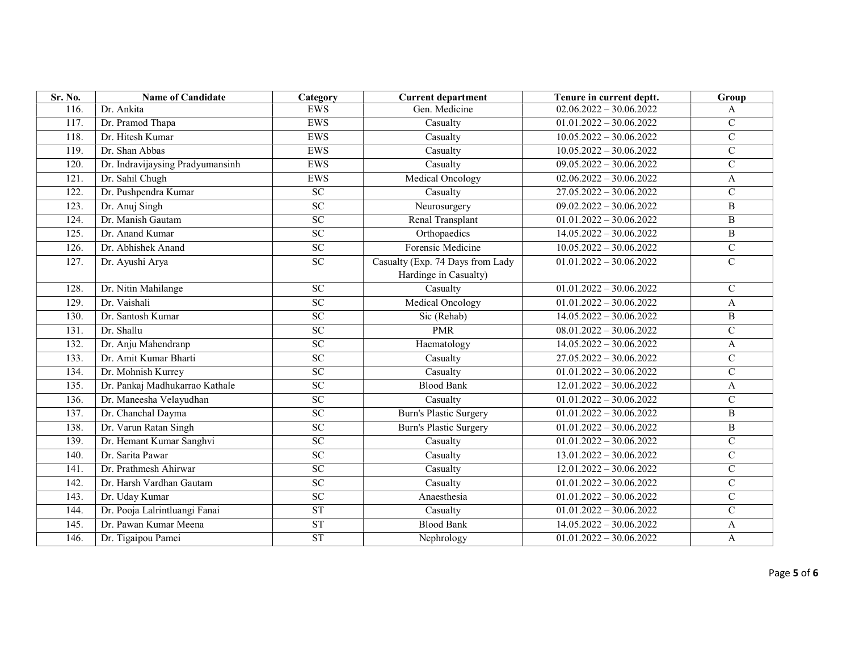| Sr. No.            | <b>Name of Candidate</b>         | Category        | <b>Current department</b>                                 | Tenure in current deptt.  | Group          |
|--------------------|----------------------------------|-----------------|-----------------------------------------------------------|---------------------------|----------------|
| 116.               | Dr. Ankita                       | EWS             | Gen. Medicine                                             | $02.06.2022 - 30.06.2022$ | A              |
| 117.               | Dr. Pramod Thapa                 | EWS             | Casualty                                                  | $01.01.2022 - 30.06.2022$ | $\mathsf{C}$   |
| 118.               | Dr. Hitesh Kumar                 | <b>EWS</b>      | Casualty                                                  | $10.05.2022 - 30.06.2022$ | $\mathsf{C}$   |
| $\overline{119}$ . | Dr. Shan Abbas                   | EWS             | $\overline{\text{C}}$ asualty                             | $10.05.2022 - 30.06.2022$ | $\overline{C}$ |
| 120.               | Dr. Indravijaysing Pradyumansinh | <b>EWS</b>      | Casualty                                                  | $09.05.2022 - 30.06.2022$ | $\mathbf C$    |
| 121.               | Dr. Sahil Chugh                  | <b>EWS</b>      | Medical Oncology                                          | $02.06.2022 - 30.06.2022$ | A              |
| 122.               | Dr. Pushpendra Kumar             | $\overline{SC}$ | Casualty                                                  | $27.05.2022 - 30.06.2022$ | $\mathbf C$    |
| $\overline{123}$ . | Dr. Anuj Singh                   | SC              | Neurosurgery                                              | $09.02.2022 - 30.06.2022$ | $\, {\bf B}$   |
| 124.               | Dr. Manish Gautam                | SC              | Renal Transplant                                          | $01.01.2022 - 30.06.2022$ | B              |
| 125.               | Dr. Anand Kumar                  | $\overline{SC}$ | Orthopaedics                                              | $14.05.2022 - 30.06.2022$ | B              |
| 126.               | Dr. Abhishek Anand               | $\overline{SC}$ | Forensic Medicine                                         | $10.05.2022 - 30.06.2022$ | $\mathbf C$    |
| 127.               | Dr. Ayushi Arya                  | ${\rm SC}$      | Casualty (Exp. 74 Days from Lady<br>Hardinge in Casualty) | $01.01.2022 - 30.06.2022$ | $\mathbf C$    |
| 128.               | Dr. Nitin Mahilange              | $\overline{SC}$ | Casualty                                                  | $01.01.2022 - 30.06.2022$ | $\mathsf{C}$   |
| 129.               | Dr. Vaishali                     | SC              | <b>Medical Oncology</b>                                   | $01.01.2022 - 30.06.2022$ | A              |
| 130.               | Dr. Santosh Kumar                | SC              | Sic (Rehab)                                               | $14.05.2022 - 30.06.2022$ | $\, {\bf B}$   |
| 131.               | Dr. Shallu                       | $\overline{SC}$ | <b>PMR</b>                                                | $08.01.2022 - 30.06.2022$ | $\mathbf C$    |
| 132.               | Dr. Anju Mahendranp              | $\overline{SC}$ | Haematology                                               | $14.05.2022 - 30.06.2022$ | A              |
| 133.               | Dr. Amit Kumar Bharti            | SC              | Casualty                                                  | $27.05.2022 - 30.06.2022$ | $\mathbf C$    |
| 134.               | Dr. Mohnish Kurrey               | SC              | Casualty                                                  | $01.01.2022 - 30.06.2022$ | $\mathsf{C}$   |
| 135.               | Dr. Pankaj Madhukarrao Kathale   | $\overline{SC}$ | <b>Blood Bank</b>                                         | $12.01.2022 - 30.06.2022$ | A              |
| 136.               | Dr. Maneesha Velayudhan          | $\overline{SC}$ | Casualty                                                  | $01.01.2022 - 30.06.2022$ | $\mathsf{C}$   |
| 137.               | Dr. Chanchal Dayma               | $\overline{SC}$ | <b>Burn's Plastic Surgery</b>                             | $01.01.2022 - 30.06.2022$ | B              |
| 138.               | Dr. Varun Ratan Singh            | $\overline{SC}$ | <b>Burn's Plastic Surgery</b>                             | $01.01.2022 - 30.06.2022$ | B              |
| 139.               | Dr. Hemant Kumar Sanghvi         | <b>SC</b>       | Casualty                                                  | $01.01.2022 - 30.06.2022$ | $\mathsf{C}$   |
| 140.               | Dr. Sarita Pawar                 | <b>SC</b>       | Casualty                                                  | $13.01.2022 - 30.06.2022$ | $\mathbf C$    |
| 141.               | Dr. Prathmesh Ahirwar            | $\overline{SC}$ | Casualty                                                  | $12.01.2022 - 30.06.2022$ | $\mathbf C$    |
| 142.               | Dr. Harsh Vardhan Gautam         | $\overline{SC}$ | Casualty                                                  | $01.01.2022 - 30.06.2022$ | $\mathcal{C}$  |
| 143.               | Dr. Uday Kumar                   | SC              | Anaesthesia                                               | $01.01.2022 - 30.06.2022$ | $\overline{C}$ |
| 144.               | Dr. Pooja Lalrintluangi Fanai    | <b>ST</b>       | Casualty                                                  | $01.01.2022 - 30.06.2022$ | $\overline{C}$ |
| 145.               | Dr. Pawan Kumar Meena            | ST              | <b>Blood Bank</b>                                         | $14.05.2022 - 30.06.2022$ | A              |
| 146.               | Dr. Tigaipou Pamei               | ST              | Nephrology                                                | $01.01.2022 - 30.06.2022$ | A              |